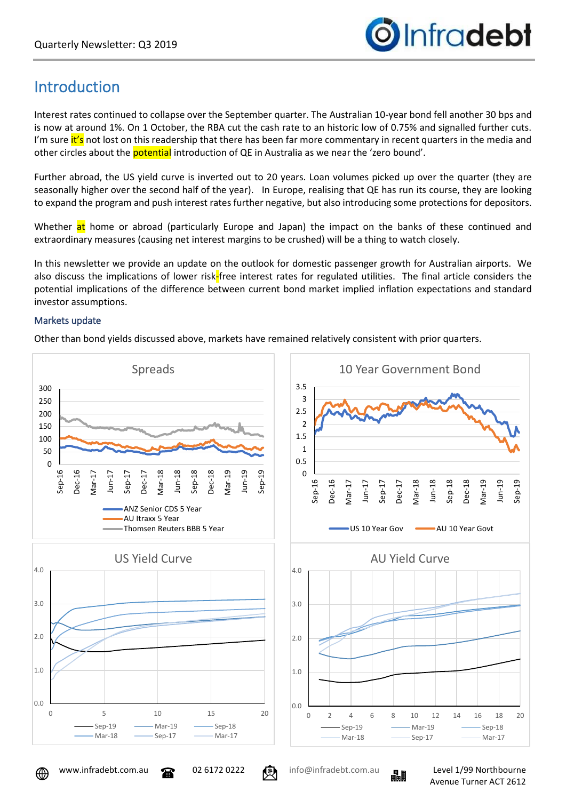

# Introduction

Interest rates continued to collapse over the September quarter. The Australian 10-year bond fell another 30 bps and is now at around 1%. On 1 October, the RBA cut the cash rate to an historic low of 0.75% and signalled further cuts. I'm sure it's not lost on this readership that there has been far more commentary in recent quarters in the media and other circles about the potential introduction of QE in Australia as we near the 'zero bound'.

Further abroad, the US yield curve is inverted out to 20 years. Loan volumes picked up over the quarter (they are seasonally higher over the second half of the year). In Europe, realising that QE has run its course, they are looking to expand the program and push interest rates further negative, but also introducing some protections for depositors.

Whether at home or abroad (particularly Europe and Japan) the impact on the banks of these continued and extraordinary measures (causing net interest margins to be crushed) will be a thing to watch closely.

In this newsletter we provide an update on the outlook for domestic passenger growth for Australian airports. We also discuss the implications of lower risk-free interest rates for regulated utilities. The final article considers the potential implications of the difference between current bond market implied inflation expectations and standard investor assumptions.

## Markets update

Other than bond yields discussed above, markets have remained relatively consistent with prior quarters.



⊕

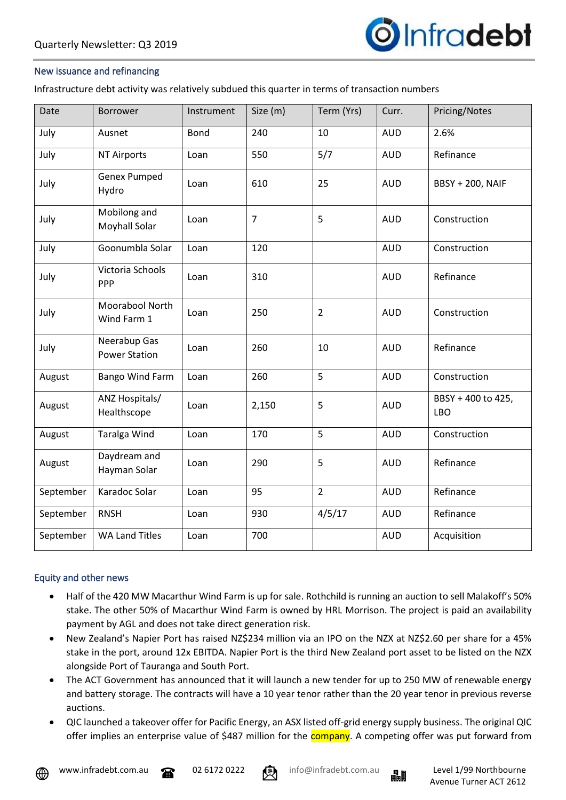

### New issuance and refinancing

Infrastructure debt activity was relatively subdued this quarter in terms of transaction numbers

| Date      | <b>Borrower</b>                      | Instrument  | Size (m)       | Term (Yrs)     | Curr.      | Pricing/Notes                    |
|-----------|--------------------------------------|-------------|----------------|----------------|------------|----------------------------------|
| July      | Ausnet                               | <b>Bond</b> | 240            | 10             | <b>AUD</b> | 2.6%                             |
| July      | <b>NT Airports</b>                   | Loan        | 550            | 5/7            | <b>AUD</b> | Refinance                        |
| July      | <b>Genex Pumped</b><br>Hydro         | Loan        | 610            | 25             | <b>AUD</b> | <b>BBSY + 200, NAIF</b>          |
| July      | Mobilong and<br><b>Moyhall Solar</b> | Loan        | $\overline{7}$ | 5              | <b>AUD</b> | Construction                     |
| July      | Goonumbla Solar                      | Loan        | 120            |                | <b>AUD</b> | Construction                     |
| July      | Victoria Schools<br>PPP              | Loan        | 310            |                | <b>AUD</b> | Refinance                        |
| July      | Moorabool North<br>Wind Farm 1       | Loan        | 250            | $\overline{2}$ | <b>AUD</b> | Construction                     |
| July      | Neerabup Gas<br><b>Power Station</b> | Loan        | 260            | 10             | <b>AUD</b> | Refinance                        |
| August    | <b>Bango Wind Farm</b>               | Loan        | 260            | 5              | <b>AUD</b> | Construction                     |
| August    | ANZ Hospitals/<br>Healthscope        | Loan        | 2,150          | 5              | <b>AUD</b> | BBSY + 400 to 425,<br><b>LBO</b> |
| August    | <b>Taralga Wind</b>                  | Loan        | 170            | 5              | <b>AUD</b> | Construction                     |
| August    | Daydream and<br>Hayman Solar         | Loan        | 290            | 5              | <b>AUD</b> | Refinance                        |
| September | Karadoc Solar                        | Loan        | 95             | $\overline{2}$ | <b>AUD</b> | Refinance                        |
| September | <b>RNSH</b>                          | Loan        | 930            | 4/5/17         | <b>AUD</b> | Refinance                        |
| September | <b>WA Land Titles</b>                | Loan        | 700            |                | <b>AUD</b> | Acquisition                      |

### Equity and other news

- Half of the 420 MW Macarthur Wind Farm is up for sale. Rothchild is running an auction to sell Malakoff's 50% stake. The other 50% of Macarthur Wind Farm is owned by HRL Morrison. The project is paid an availability payment by AGL and does not take direct generation risk.
- New Zealand's Napier Port has raised NZ\$234 million via an IPO on the NZX at NZ\$2.60 per share for a 45% stake in the port, around 12x EBITDA. Napier Port is the third New Zealand port asset to be listed on the NZX alongside Port of Tauranga and South Port.
- The ACT Government has announced that it will launch a new tender for up to 250 MW of renewable energy and battery storage. The contracts will have a 10 year tenor rather than the 20 year tenor in previous reverse auctions.
- QIC launched a takeover offer for Pacific Energy, an ASX listed off-grid energy supply business. The original QIC offer implies an enterprise value of \$487 million for the **company**. A competing offer was put forward from



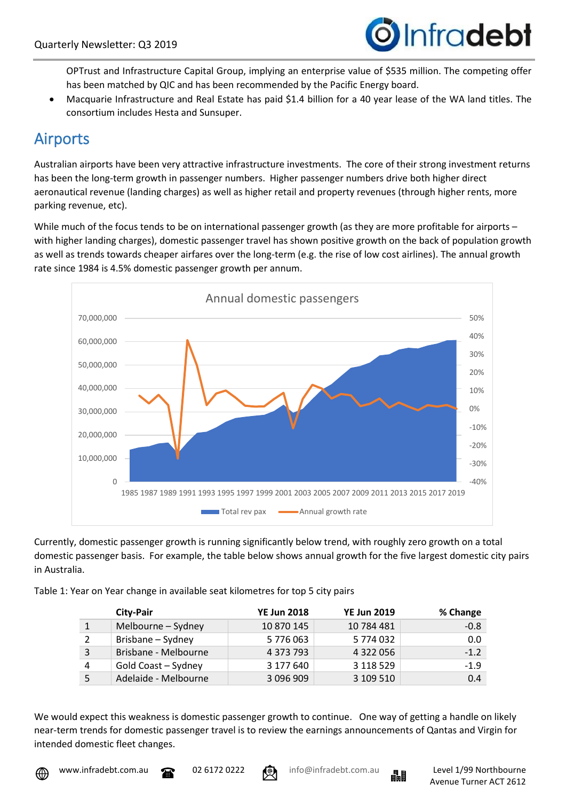

OPTrust and Infrastructure Capital Group, implying an enterprise value of \$535 million. The competing offer has been matched by QIC and has been recommended by the Pacific Energy board.

• Macquarie Infrastructure and Real Estate has paid \$1.4 billion for a 40 year lease of the WA land titles. The consortium includes Hesta and Sunsuper.

## Airports

Australian airports have been very attractive infrastructure investments. The core of their strong investment returns has been the long-term growth in passenger numbers. Higher passenger numbers drive both higher direct aeronautical revenue (landing charges) as well as higher retail and property revenues (through higher rents, more parking revenue, etc).

While much of the focus tends to be on international passenger growth (as they are more profitable for airports – with higher landing charges), domestic passenger travel has shown positive growth on the back of population growth as well as trends towards cheaper airfares over the long-term (e.g. the rise of low cost airlines). The annual growth rate since 1984 is 4.5% domestic passenger growth per annum.



Currently, domestic passenger growth is running significantly below trend, with roughly zero growth on a total domestic passenger basis. For example, the table below shows annual growth for the five largest domestic city pairs in Australia.

| Table 1: Year on Year change in available seat kilometres for top 5 city pairs |  |  |  |
|--------------------------------------------------------------------------------|--|--|--|
|                                                                                |  |  |  |

|   | <b>City-Pair</b>     | <b>YE Jun 2018</b> | <b>YE Jun 2019</b> | % Change |
|---|----------------------|--------------------|--------------------|----------|
|   | Melbourne - Sydney   | 10 870 145         | 10 784 481         | $-0.8$   |
|   | Brisbane - Sydney    | 5 776 063          | 5 774 032          | 0.0      |
|   | Brisbane - Melbourne | 4 373 793          | 4 322 056          | $-1.2$   |
| 4 | Gold Coast - Sydney  | 3 177 640          | 3 118 529          | $-1.9$   |
|   | Adelaide - Melbourne | 3 096 909          | 3 109 510          | 0.4      |

We would expect this weakness is domestic passenger growth to continue. One way of getting a handle on likely near-term trends for domestic passenger travel is to review the earnings announcements of Qantas and Virgin for intended domestic fleet changes.





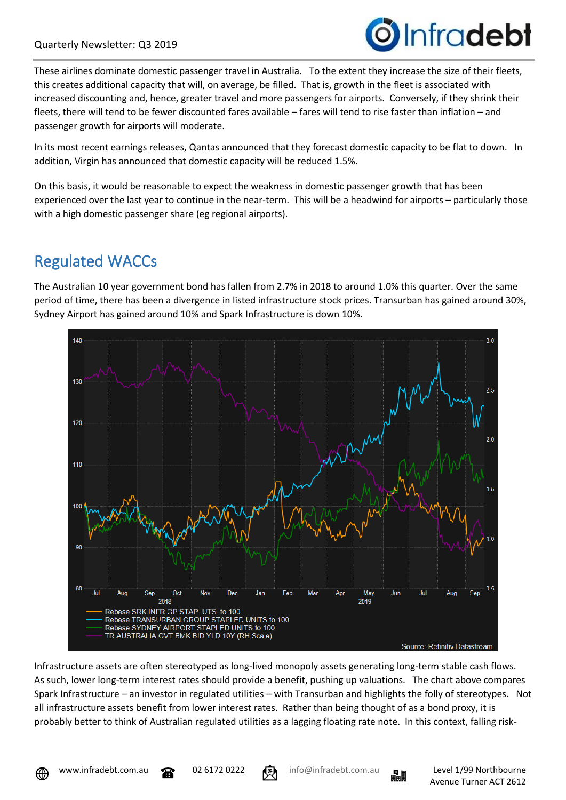

These airlines dominate domestic passenger travel in Australia. To the extent they increase the size of their fleets, this creates additional capacity that will, on average, be filled. That is, growth in the fleet is associated with increased discounting and, hence, greater travel and more passengers for airports. Conversely, if they shrink their fleets, there will tend to be fewer discounted fares available – fares will tend to rise faster than inflation – and passenger growth for airports will moderate.

In its most recent earnings releases, Qantas announced that they forecast domestic capacity to be flat to down. In addition, Virgin has announced that domestic capacity will be reduced 1.5%.

On this basis, it would be reasonable to expect the weakness in domestic passenger growth that has been experienced over the last year to continue in the near-term. This will be a headwind for airports – particularly those with a high domestic passenger share (eg regional airports).

# Regulated WACCs

The Australian 10 year government bond has fallen from 2.7% in 2018 to around 1.0% this quarter. Over the same period of time, there has been a divergence in listed infrastructure stock prices. Transurban has gained around 30%, Sydney Airport has gained around 10% and Spark Infrastructure is down 10%.



Infrastructure assets are often stereotyped as long-lived monopoly assets generating long-term stable cash flows. As such, lower long-term interest rates should provide a benefit, pushing up valuations. The chart above compares Spark Infrastructure – an investor in regulated utilities – with Transurban and highlights the folly of stereotypes. Not all infrastructure assets benefit from lower interest rates. Rather than being thought of as a bond proxy, it is probably better to think of Australian regulated utilities as a lagging floating rate note. In this context, falling risk-



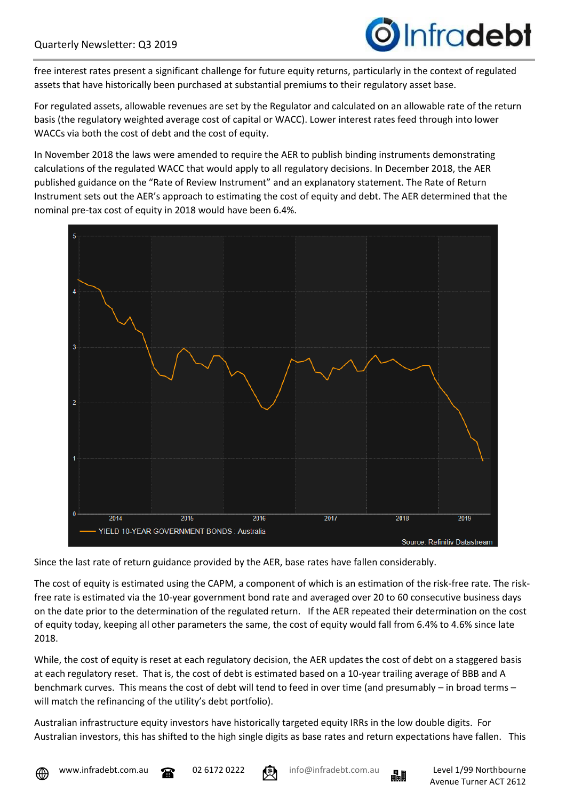

free interest rates present a significant challenge for future equity returns, particularly in the context of regulated assets that have historically been purchased at substantial premiums to their regulatory asset base.

For regulated assets, allowable revenues are set by the Regulator and calculated on an allowable rate of the return basis (the regulatory weighted average cost of capital or WACC). Lower interest rates feed through into lower WACCs via both the cost of debt and the cost of equity.

In November 2018 the laws were amended to require the AER to publish binding instruments demonstrating calculations of the regulated WACC that would apply to all regulatory decisions. In December 2018, the AER published guidance on the "Rate of Review Instrument" and an explanatory statement. The Rate of Return Instrument sets out the AER's approach to estimating the cost of equity and debt. The AER determined that the nominal pre-tax cost of equity in 2018 would have been 6.4%.



Since the last rate of return guidance provided by the AER, base rates have fallen considerably.

The cost of equity is estimated using the CAPM, a component of which is an estimation of the risk-free rate. The riskfree rate is estimated via the 10-year government bond rate and averaged over 20 to 60 consecutive business days on the date prior to the determination of the regulated return. If the AER repeated their determination on the cost of equity today, keeping all other parameters the same, the cost of equity would fall from 6.4% to 4.6% since late 2018.

While, the cost of equity is reset at each regulatory decision, the AER updates the cost of debt on a staggered basis at each regulatory reset. That is, the cost of debt is estimated based on a 10-year trailing average of BBB and A benchmark curves. This means the cost of debt will tend to feed in over time (and presumably – in broad terms – will match the refinancing of the utility's debt portfolio).

Australian infrastructure equity investors have historically targeted equity IRRs in the low double digits. For Australian investors, this has shifted to the high single digits as base rates and return expectations have fallen. This





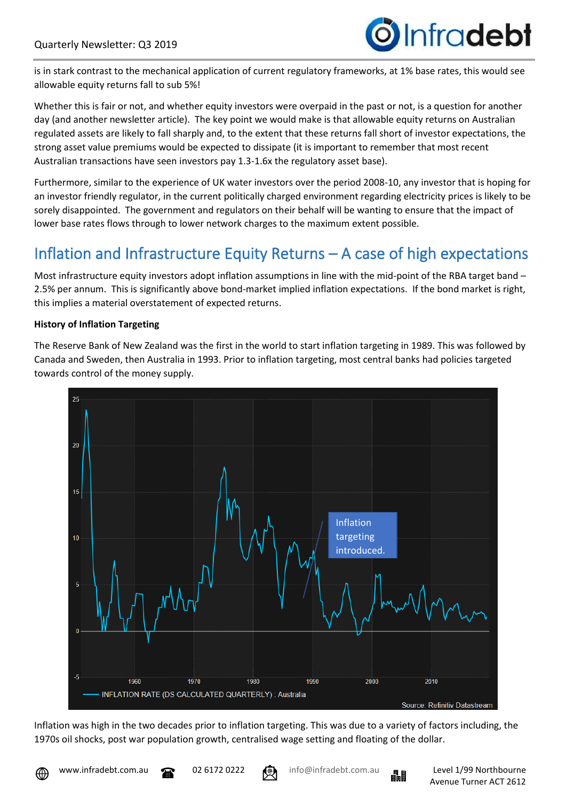is in stark contrast to the mechanical application of current regulatory frameworks, at 1% base rates, this would see allowable equity returns fall to sub 5%!

Whether this is fair or not, and whether equity investors were overpaid in the past or not, is a question for another day (and another newsletter article). The key point we would make is that allowable equity returns on Australian regulated assets are likely to fall sharply and, to the extent that these returns fall short of investor expectations, the strong asset value premiums would be expected to dissipate (it is important to remember that most recent Australian transactions have seen investors pay 1.3-1.6x the regulatory asset base).

Furthermore, similar to the experience of UK water investors over the period 2008-10, any investor that is hoping for an investor friendly regulator, in the current politically charged environment regarding electricity prices is likely to be sorely disappointed. The government and regulators on their behalf will be wanting to ensure that the impact of lower base rates flows through to lower network charges to the maximum extent possible.

# Inflation and Infrastructure Equity Returns – A case of high expectations

Most infrastructure equity investors adopt inflation assumptions in line with the mid-point of the RBA target band – 2.5% per annum. This is significantly above bond-market implied inflation expectations. If the bond market is right, this implies a material overstatement of expected returns.

## **History of Inflation Targeting**

The Reserve Bank of New Zealand was the first in the world to start inflation targeting in 1989. This was followed by Canada and Sweden, then Australia in 1993. Prior to inflation targeting, most central banks had policies targeted towards control of the money supply.



Inflation was high in the two decades prior to inflation targeting. This was due to a variety of factors including, the 1970s oil shocks, post war population growth, centralised wage setting and floating of the dollar.



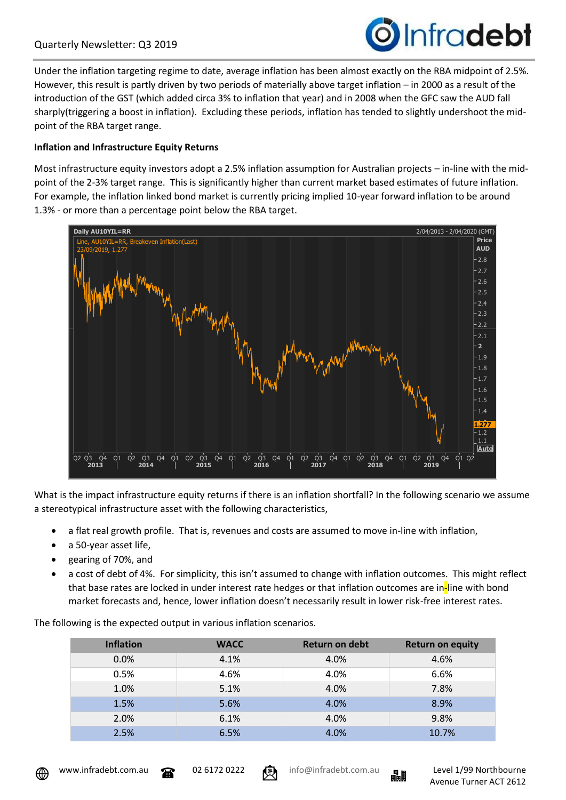

Under the inflation targeting regime to date, average inflation has been almost exactly on the RBA midpoint of 2.5%. However, this result is partly driven by two periods of materially above target inflation – in 2000 as a result of the introduction of the GST (which added circa 3% to inflation that year) and in 2008 when the GFC saw the AUD fall sharply(triggering a boost in inflation). Excluding these periods, inflation has tended to slightly undershoot the midpoint of the RBA target range.

### **Inflation and Infrastructure Equity Returns**

Most infrastructure equity investors adopt a 2.5% inflation assumption for Australian projects – in-line with the midpoint of the 2-3% target range. This is significantly higher than current market based estimates of future inflation. For example, the inflation linked bond market is currently pricing implied 10-year forward inflation to be around 1.3% - or more than a percentage point below the RBA target.



What is the impact infrastructure equity returns if there is an inflation shortfall? In the following scenario we assume a stereotypical infrastructure asset with the following characteristics,

- a flat real growth profile. That is, revenues and costs are assumed to move in-line with inflation,
- a 50-year asset life,
- gearing of 70%, and
- a cost of debt of 4%. For simplicity, this isn't assumed to change with inflation outcomes. This might reflect that base rates are locked in under interest rate hedges or that inflation outcomes are in-line with bond market forecasts and, hence, lower inflation doesn't necessarily result in lower risk-free interest rates.

The following is the expected output in various inflation scenarios.

| <b>Inflation</b> | <b>WACC</b> | Return on debt | <b>Return on equity</b> |
|------------------|-------------|----------------|-------------------------|
| 0.0%             | 4.1%        | 4.0%           | 4.6%                    |
| 0.5%             | 4.6%        | 4.0%           | 6.6%                    |
| 1.0%             | 5.1%        | 4.0%           | 7.8%                    |
| 1.5%             | 5.6%        | 4.0%           | 8.9%                    |
| 2.0%             | 6.1%        | 4.0%           | 9.8%                    |
| 2.5%             | 6.5%        | 4.0%           | 10.7%                   |